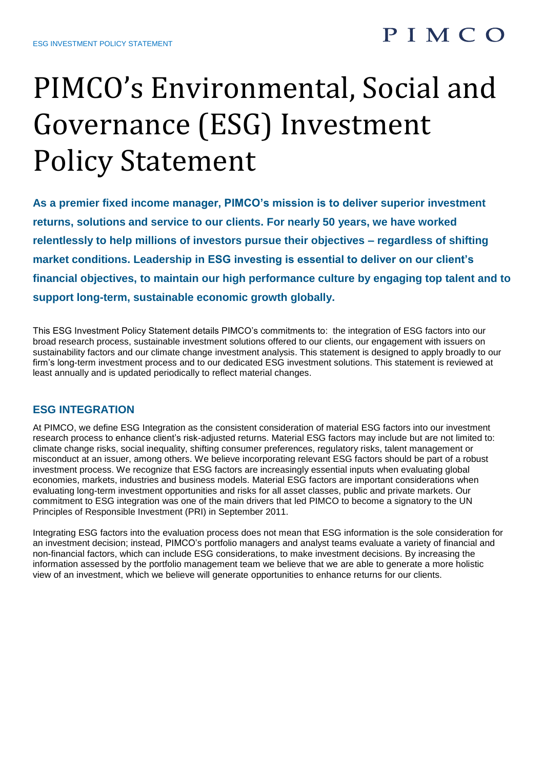### PIMCO

# PIMCO's Environmental, Social and Governance (ESG) Investment Policy Statement

**As a premier fixed income manager, PIMCO's mission is to deliver superior investment returns, solutions and service to our clients. For nearly 50 years, we have worked relentlessly to help millions of investors pursue their objectives – regardless of shifting market conditions. Leadership in ESG investing is essential to deliver on our client's financial objectives, to maintain our high performance culture by engaging top talent and to support long-term, sustainable economic growth globally.** 

This ESG Investment Policy Statement details PIMCO's commitments to: the integration of ESG factors into our broad research process, sustainable investment solutions offered to our clients, our engagement with issuers on sustainability factors and our climate change investment analysis. This statement is designed to apply broadly to our firm's long-term investment process and to our dedicated ESG investment solutions. This statement is reviewed at least annually and is updated periodically to reflect material changes.

#### **ESG INTEGRATION**

At PIMCO, we define ESG Integration as the consistent consideration of material ESG factors into our investment research process to enhance client's risk-adjusted returns. Material ESG factors may include but are not limited to: climate change risks, social inequality, shifting consumer preferences, regulatory risks, talent management or misconduct at an issuer, among others. We believe incorporating relevant ESG factors should be part of a robust investment process. We recognize that ESG factors are increasingly essential inputs when evaluating global economies, markets, industries and business models. Material ESG factors are important considerations when evaluating long-term investment opportunities and risks for all asset classes, public and private markets. Our commitment to ESG integration was one of the main drivers that led PIMCO to become a signatory to the UN Principles of Responsible Investment (PRI) in September 2011.

Integrating ESG factors into the evaluation process does not mean that ESG information is the sole consideration for an investment decision; instead, PIMCO's portfolio managers and analyst teams evaluate a variety of financial and non-financial factors, which can include ESG considerations, to make investment decisions. By increasing the information assessed by the portfolio management team we believe that we are able to generate a more holistic view of an investment, which we believe will generate opportunities to enhance returns for our clients.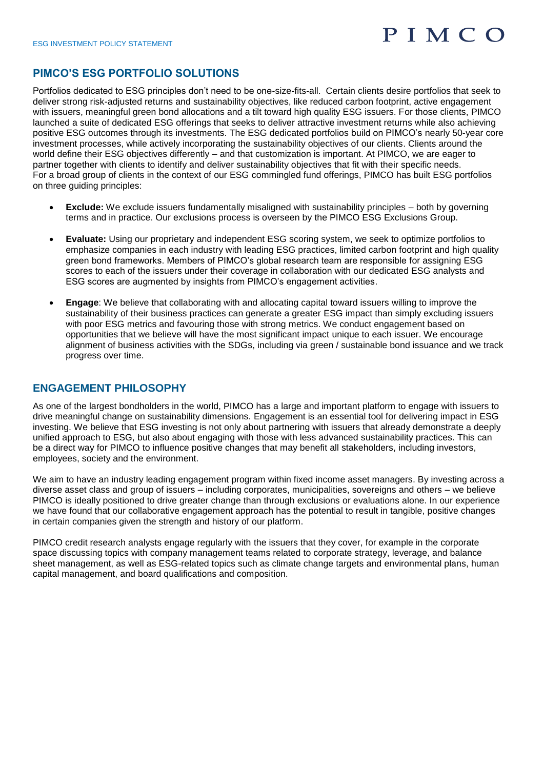## PIMCO

#### **PIMCO'S ESG PORTFOLIO SOLUTIONS**

Portfolios dedicated to ESG principles don't need to be one-size-fits-all. Certain clients desire portfolios that seek to deliver strong risk-adjusted returns and sustainability objectives, like reduced carbon footprint, active engagement with issuers, meaningful green bond allocations and a tilt toward high quality ESG issuers. For those clients, PIMCO launched a suite of dedicated ESG offerings that seeks to deliver attractive investment returns while also achieving positive ESG outcomes through its investments. The ESG dedicated portfolios build on PIMCO's nearly 50-year core investment processes, while actively incorporating the sustainability objectives of our clients. Clients around the world define their ESG objectives differently – and that customization is important. At PIMCO, we are eager to partner together with clients to identify and deliver sustainability objectives that fit with their specific needs. For a broad group of clients in the context of our ESG commingled fund offerings, PIMCO has built ESG portfolios on three guiding principles:

- **Exclude:** We exclude issuers fundamentally misaligned with sustainability principles both by governing terms and in practice. Our exclusions process is overseen by the PIMCO ESG Exclusions Group.
- **Evaluate:** Using our proprietary and independent ESG scoring system, we seek to optimize portfolios to emphasize companies in each industry with leading ESG practices, limited carbon footprint and high quality green bond frameworks. Members of PIMCO's global research team are responsible for assigning ESG scores to each of the issuers under their coverage in collaboration with our dedicated ESG analysts and ESG scores are augmented by insights from PIMCO's engagement activities.
- **Engage**: We believe that collaborating with and allocating capital toward issuers willing to improve the sustainability of their business practices can generate a greater ESG impact than simply excluding issuers with poor ESG metrics and favouring those with strong metrics. We conduct engagement based on opportunities that we believe will have the most significant impact unique to each issuer. We encourage alignment of business activities with the SDGs, including via green / sustainable bond issuance and we track progress over time.

#### **ENGAGEMENT PHILOSOPHY**

As one of the largest bondholders in the world, PIMCO has a large and important platform to engage with issuers to drive meaningful change on sustainability dimensions. Engagement is an essential tool for delivering impact in ESG investing. We believe that ESG investing is not only about partnering with issuers that already demonstrate a deeply unified approach to ESG, but also about engaging with those with less advanced sustainability practices. This can be a direct way for PIMCO to influence positive changes that may benefit all stakeholders, including investors, employees, society and the environment.

We aim to have an industry leading engagement program within fixed income asset managers. By investing across a diverse asset class and group of issuers – including corporates, municipalities, sovereigns and others – we believe PIMCO is ideally positioned to drive greater change than through exclusions or evaluations alone. In our experience we have found that our collaborative engagement approach has the potential to result in tangible, positive changes in certain companies given the strength and history of our platform.

PIMCO credit research analysts engage regularly with the issuers that they cover, for example in the corporate space discussing topics with company management teams related to corporate strategy, leverage, and balance sheet management, as well as ESG-related topics such as climate change targets and environmental plans, human capital management, and board qualifications and composition.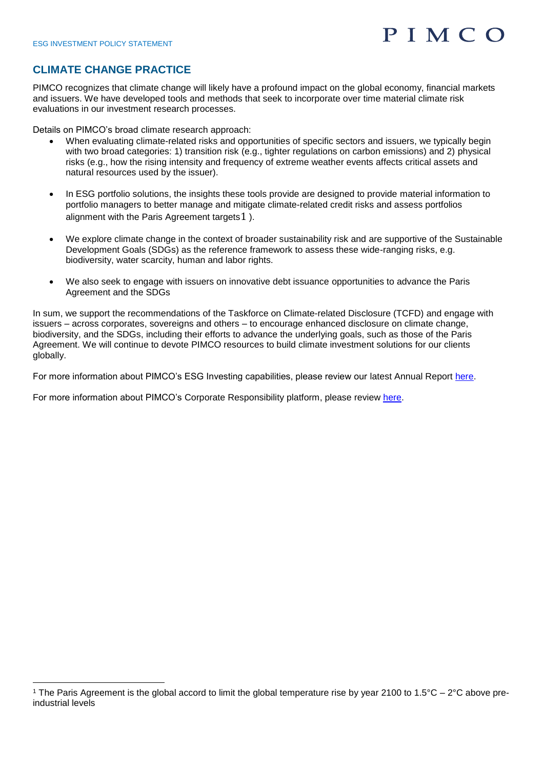<u>.</u>

# PIMCO

#### **CLIMATE CHANGE PRACTICE**

PIMCO recognizes that climate change will likely have a profound impact on the global economy, financial markets and issuers. We have developed tools and methods that seek to incorporate over time material climate risk evaluations in our investment research processes.

Details on PIMCO's broad climate research approach:

- When evaluating climate-related risks and opportunities of specific sectors and issuers, we typically begin with two broad categories: 1) transition risk (e.g., tighter regulations on carbon emissions) and 2) physical risks (e.g., how the rising intensity and frequency of extreme weather events affects critical assets and natural resources used by the issuer).
- In ESG portfolio solutions, the insights these tools provide are designed to provide material information to portfolio managers to better manage and mitigate climate-related credit risks and assess portfolios alignment with the Paris Agreement targets 1).
- We explore climate change in the context of broader sustainability risk and are supportive of the Sustainable Development Goals (SDGs) as the reference framework to assess these wide-ranging risks, e.g. biodiversity, water scarcity, human and labor rights.
- We also seek to engage with issuers on innovative debt issuance opportunities to advance the Paris Agreement and the SDGs

In sum, we support the recommendations of the Taskforce on Climate-related Disclosure (TCFD) and engage with issuers – across corporates, sovereigns and others – to encourage enhanced disclosure on climate change, biodiversity, and the SDGs, including their efforts to advance the underlying goals, such as those of the Paris Agreement. We will continue to devote PIMCO resources to build climate investment solutions for our clients globally.

For more information about PIMCO's ESG Investing capabilities, please review our latest Annual Report [here.](https://www.pimco.com/en-us/investments/esg-investing/?showsplash=1)

For more information about PIMCO's Corporate Responsibility platform, please review [here.](https://global.pimco.com/en-gbl/our-firm/purpose)

<sup>&</sup>lt;sup>1</sup> The Paris Agreement is the global accord to limit the global temperature rise by year 2100 to 1.5°C – 2°C above preindustrial levels